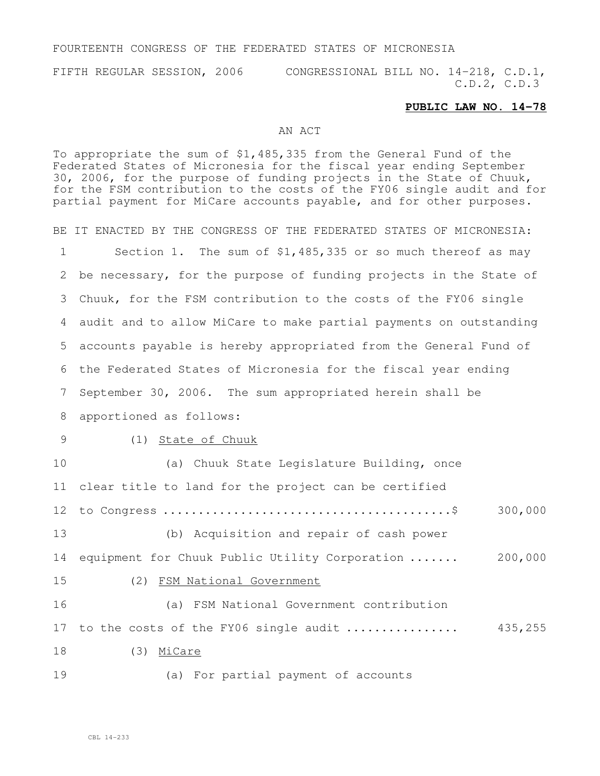#### FOURTEENTH CONGRESS OF THE FEDERATED STATES OF MICRONESIA

FIFTH REGULAR SESSION, 2006 CONGRESSIONAL BILL NO. 14-218, C.D.1, C.D.2, C.D.3

#### **PUBLIC LAW NO. 14-78**

### AN ACT

To appropriate the sum of \$1,485,335 from the General Fund of the Federated States of Micronesia for the fiscal year ending September 30, 2006, for the purpose of funding projects in the State of Chuuk, for the FSM contribution to the costs of the FY06 single audit and for partial payment for MiCare accounts payable, and for other purposes. BE IT ENACTED BY THE CONGRESS OF THE FEDERATED STATES OF MICRONESIA: Section 1. The sum of \$1,485,335 or so much thereof as may be necessary, for the purpose of funding projects in the State of Chuuk, for the FSM contribution to the costs of the FY06 single audit and to allow MiCare to make partial payments on outstanding accounts payable is hereby appropriated from the General Fund of the Federated States of Micronesia for the fiscal year ending September 30, 2006. The sum appropriated herein shall be apportioned as follows: (1) State of Chuuk (a) Chuuk State Legislature Building, once clear title to land for the project can be certified to Congress .........................................\$ 300,000 (b) Acquisition and repair of cash power equipment for Chuuk Public Utility Corporation ....... 200,000 (2) FSM National Government (a) FSM National Government contribution to the costs of the FY06 single audit ................ 435,255 (3) MiCare (a) For partial payment of accounts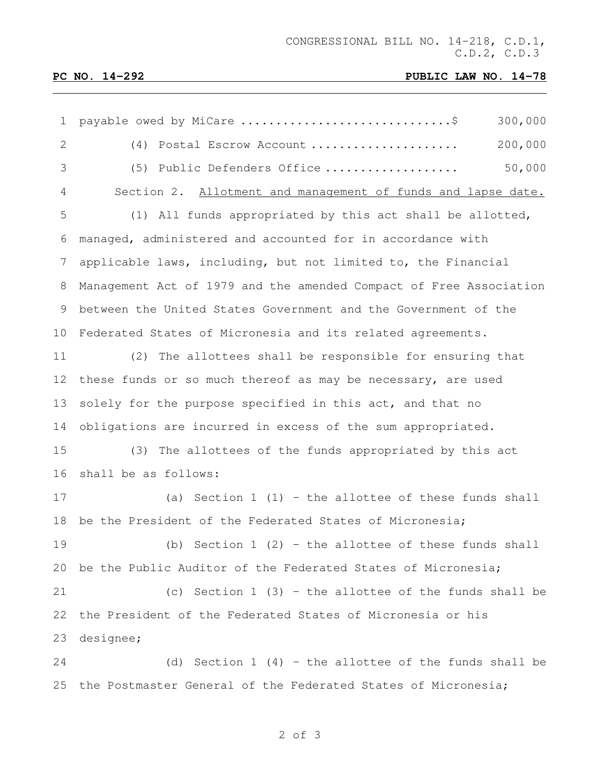# **PC NO. 14-292 PUBLIC LAW NO. 14-78**

| $\mathbf 1$     | payable owed by MiCare \$<br>300,000                               |
|-----------------|--------------------------------------------------------------------|
| 2               | 200,000<br>(4) Postal Escrow Account                               |
| 3               | 50,000<br>(5) Public Defenders Office                              |
| 4               | Section 2. Allotment and management of funds and lapse date.       |
| 5               | (1) All funds appropriated by this act shall be allotted,          |
| 6               | managed, administered and accounted for in accordance with         |
| 7               | applicable laws, including, but not limited to, the Financial      |
| 8               | Management Act of 1979 and the amended Compact of Free Association |
| 9               | between the United States Government and the Government of the     |
| 10 <sub>1</sub> | Federated States of Micronesia and its related agreements.         |
| 11              | (2) The allottees shall be responsible for ensuring that           |
| 12              | these funds or so much thereof as may be necessary, are used       |
| 13              | solely for the purpose specified in this act, and that no          |
| 14              | obligations are incurred in excess of the sum appropriated.        |
| 15              | (3) The allottees of the funds appropriated by this act            |
| 16              | shall be as follows:                                               |
| 17              | (a) Section $1(1)$ - the allottee of these funds shall             |
| 18              | be the President of the Federated States of Micronesia;            |
| 19              | (b) Section $1$ (2) - the allottee of these funds shall            |
| 20              | be the Public Auditor of the Federated States of Micronesia;       |
| 21              | (c) Section $1$ (3) - the allottee of the funds shall be           |
| 22              | the President of the Federated States of Micronesia or his         |
| 23              | designee;                                                          |
| 24              | (d) Section $1$ (4) - the allottee of the funds shall be           |
| 25              | the Postmaster General of the Federated States of Micronesia;      |

### of 3